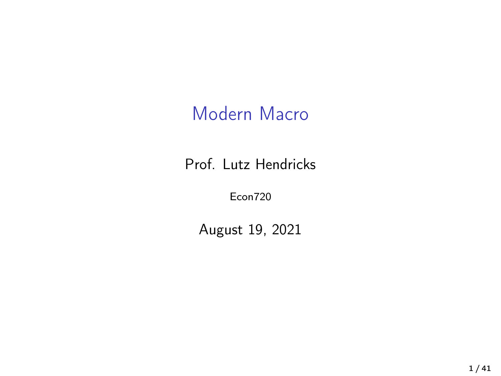### Modern Macro

Prof. Lutz Hendricks

Econ720

August 19, 2021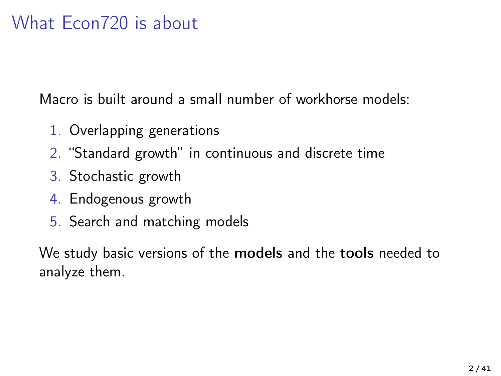### What Econ720 is about

Macro is built around a small number of workhorse models:

- 1. Overlapping generations
- 2. "Standard growth" in continuous and discrete time
- 3. Stochastic growth
- 4. Endogenous growth
- 5. Search and matching models

We study basic versions of the models and the tools needed to analyze them.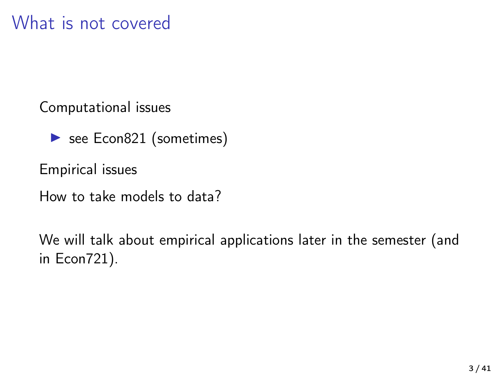Computational issues

 $\triangleright$  see Econ821 (sometimes)

Empirical issues

How to take models to data?

We will talk about empirical applications later in the semester (and in Econ721).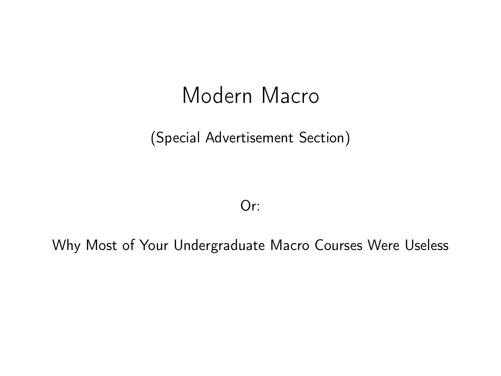# Modern Macro

(Special Advertisement Section)

Or:

Why Most of Your Undergraduate Macro Courses Were Useless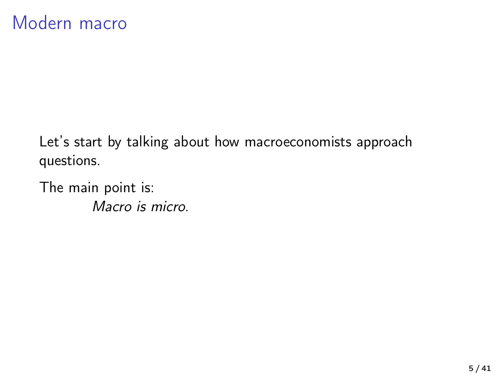Let's start by talking about how macroeconomists approach questions.

The main point is: Macro is micro.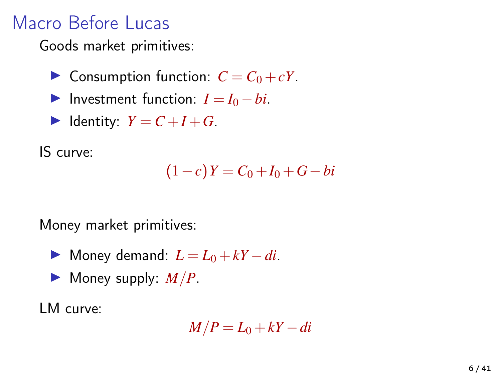### Macro Before Lucas

Goods market primitives:

- $\triangleright$  Consumption function:  $C = C_0 + cY$ .
- $\triangleright$  Investment function:  $I = I_0 bi$ .
- $\blacktriangleright$  Identity:  $Y = C + I + G$ .

IS curve:

$$
(1-c)Y = C_0 + I_0 + G - bi
$$

Money market primitives:

- $\triangleright$  Money demand:  $L = L_0 + kY di$ .
- $\blacktriangleright$  Money supply:  $M/P$ .

LM curve:

$$
M/P = L_0 + kY - di
$$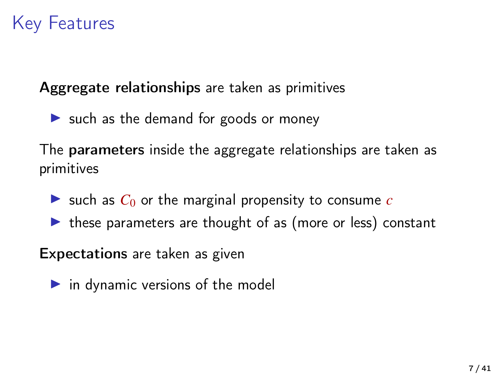### Key Features

Aggregate relationships are taken as primitives

 $\triangleright$  such as the demand for goods or money

The parameters inside the aggregate relationships are taken as primitives

- $\triangleright$  such as  $C_0$  or the marginal propensity to consume *c*
- $\triangleright$  these parameters are thought of as (more or less) constant

Expectations are taken as given

 $\triangleright$  in dynamic versions of the model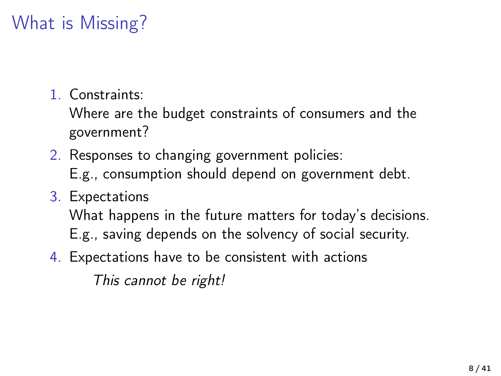# What is Missing?

1. Constraints:

Where are the budget constraints of consumers and the government?

- 2. Responses to changing government policies: E.g., consumption should depend on government debt.
- 3. Expectations

What happens in the future matters for today's decisions. E.g., saving depends on the solvency of social security.

4. Expectations have to be consistent with actions

This cannot be right!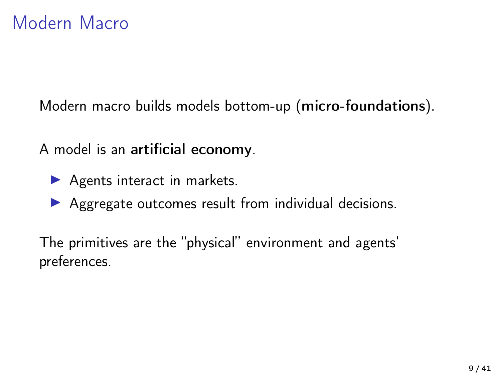Modern macro builds models bottom-up (micro-foundations).

A model is an artificial economy.

- $\blacktriangleright$  Agents interact in markets.
- $\triangleright$  Aggregate outcomes result from individual decisions.

The primitives are the "physical" environment and agents' preferences.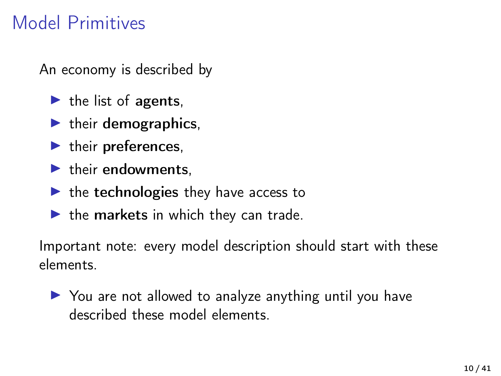### Model Primitives

An economy is described by

- $\blacktriangleright$  the list of agents.
- $\blacktriangleright$  their demographics,
- $\blacktriangleright$  their preferences,
- $\blacktriangleright$  their endowments.
- $\blacktriangleright$  the technologies they have access to
- $\blacktriangleright$  the markets in which they can trade.

Important note: every model description should start with these elements.

 $\triangleright$  You are not allowed to analyze anything until you have described these model elements.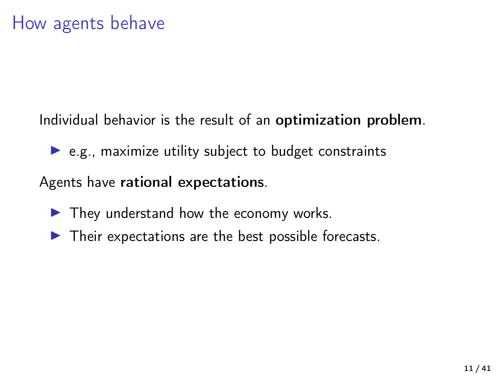Individual behavior is the result of an optimization problem.

 $\triangleright$  e.g., maximize utility subject to budget constraints

Agents have rational expectations.

- $\blacktriangleright$  They understand how the economy works.
- $\blacktriangleright$  Their expectations are the best possible forecasts.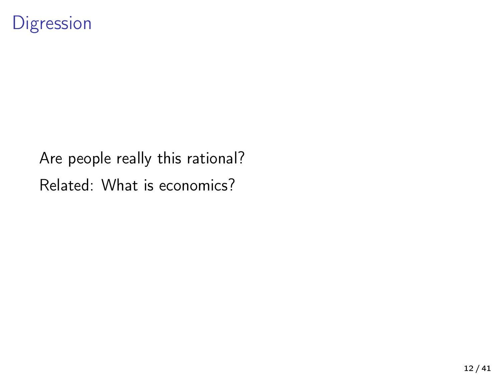### **Digression**

Are people really this rational? Related: What is economics?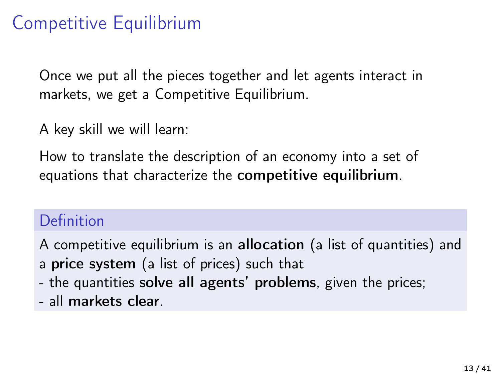### Competitive Equilibrium

Once we put all the pieces together and let agents interact in markets, we get a Competitive Equilibrium.

A key skill we will learn:

How to translate the description of an economy into a set of equations that characterize the competitive equilibrium.

### Definition

A competitive equilibrium is an allocation (a list of quantities) and a price system (a list of prices) such that

- the quantities solve all agents' problems, given the prices;
- all markets clear.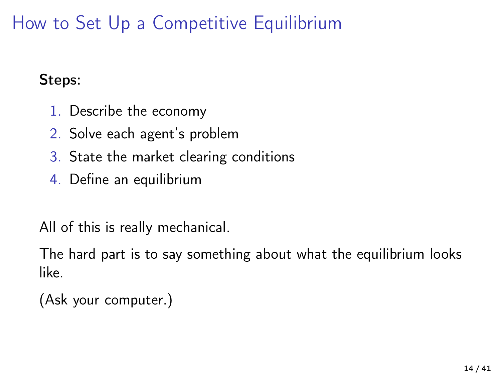How to Set Up a Competitive Equilibrium

#### Steps:

- 1. Describe the economy
- 2. Solve each agent's problem
- 3. State the market clearing conditions
- 4. Define an equilibrium

All of this is really mechanical.

The hard part is to say something about what the equilibrium looks like.

(Ask your computer.)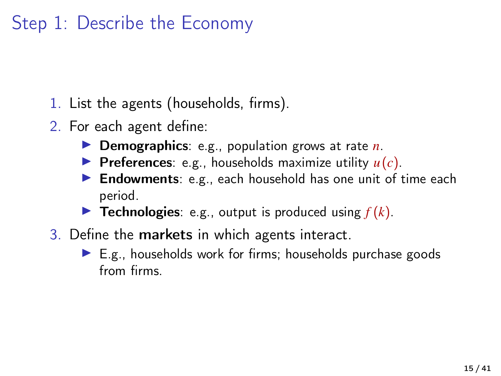- 1. List the agents (households, firms).
- 2. For each agent define:
	- **I** Demographics: e.g., population grows at rate *n*.
	- **Preferences**: e.g., households maximize utility  $u(c)$ .
	- **Findowments**: e.g., each household has one unit of time each period.
	- **Fechnologies**: e.g., output is produced using  $f(k)$ .
- 3. Define the markets in which agents interact.
	- $\blacktriangleright$  E.g., households work for firms; households purchase goods from firms.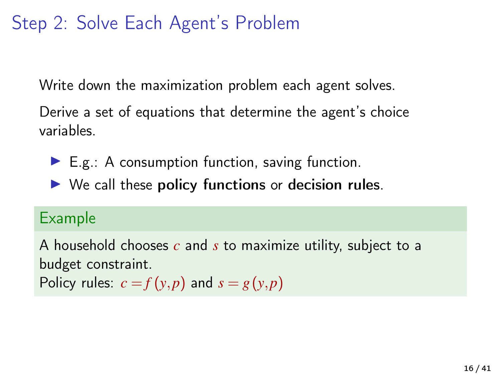### Step 2: Solve Each Agent's Problem

Write down the maximization problem each agent solves.

Derive a set of equations that determine the agent's choice variables.

- $\blacktriangleright$  E.g.: A consumption function, saving function.
- $\triangleright$  We call these policy functions or decision rules.

#### Example

A household chooses *c* and *s* to maximize utility, subject to a budget constraint. Policy rules:  $c = f(y, p)$  and  $s = g(y, p)$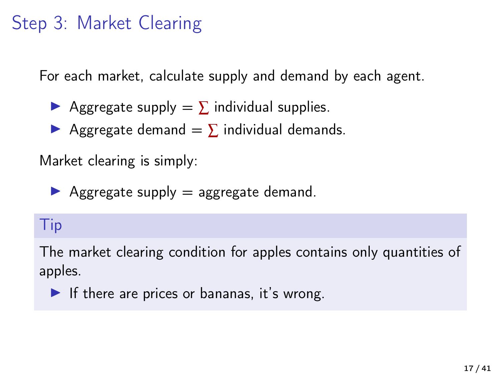# Step 3: Market Clearing

For each market, calculate supply and demand by each agent.

- Aggregate supply  $= \sum$  individual supplies.
- Aggregate demand  $= \sum$  individual demands.

Market clearing is simply:

 $\blacktriangleright$  Aggregate supply  $=$  aggregate demand.

### Tip

The market clearing condition for apples contains only quantities of apples.

If there are prices or bananas, it's wrong.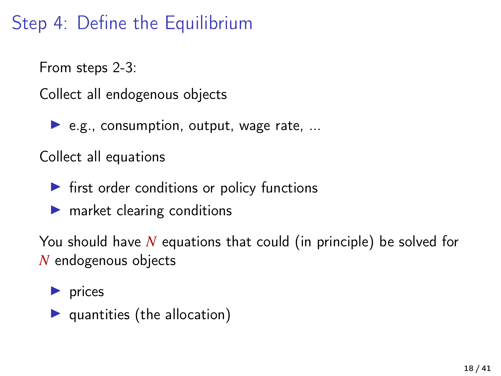# Step 4: Define the Equilibrium

From steps 2-3:

Collect all endogenous objects

 $\blacktriangleright$  e.g., consumption, output, wage rate, ...

Collect all equations

- $\blacktriangleright$  first order conditions or policy functions
- $\blacktriangleright$  market clearing conditions

You should have *N* equations that could (in principle) be solved for *N* endogenous objects

 $\blacktriangleright$  prices

 $\blacktriangleright$  quantities (the allocation)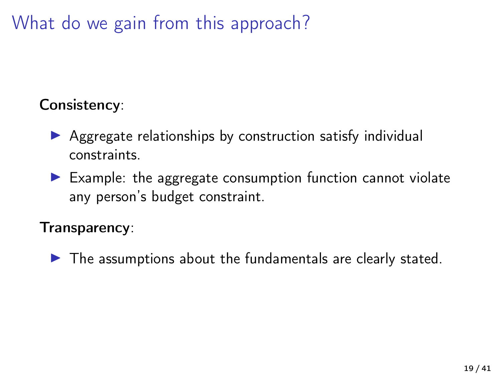What do we gain from this approach?

### Consistency:

- $\triangleright$  Aggregate relationships by construction satisfy individual constraints.
- $\blacktriangleright$  Example: the aggregate consumption function cannot violate any person's budget constraint.

#### Transparency:

 $\blacktriangleright$  The assumptions about the fundamentals are clearly stated.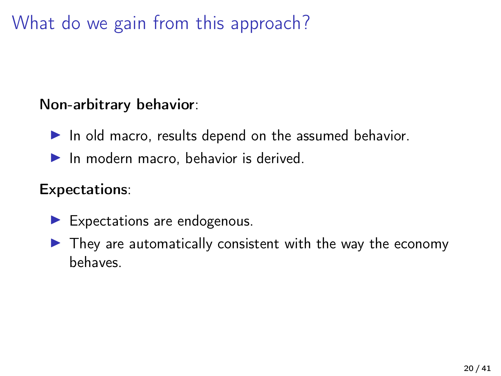What do we gain from this approach?

### Non-arbitrary behavior:

- $\blacktriangleright$  In old macro, results depend on the assumed behavior.
- $\blacktriangleright$  In modern macro, behavior is derived.

#### Expectations:

- $\blacktriangleright$  Expectations are endogenous.
- $\blacktriangleright$  They are automatically consistent with the way the economy behaves.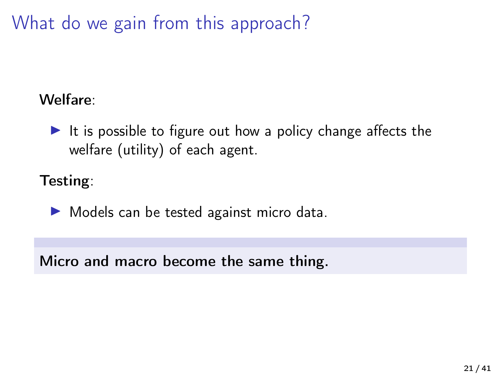What do we gain from this approach?

### Welfare:

It is possible to figure out how a policy change affects the welfare (utility) of each agent.

Testing:

 $\triangleright$  Models can be tested against micro data.

Micro and macro become the same thing.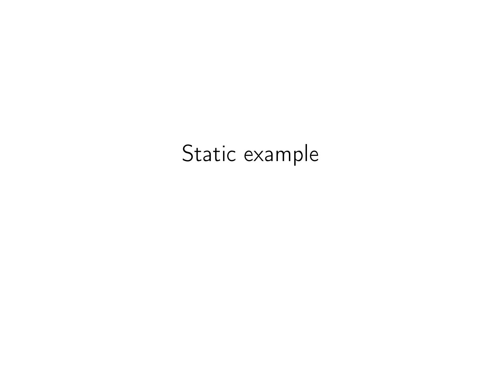# Static example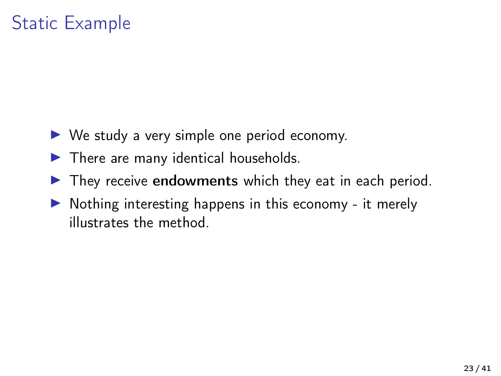# Static Example

- $\triangleright$  We study a very simple one period economy.
- $\blacktriangleright$  There are many identical households.
- $\blacktriangleright$  They receive endowments which they eat in each period.
- $\triangleright$  Nothing interesting happens in this economy it merely illustrates the method.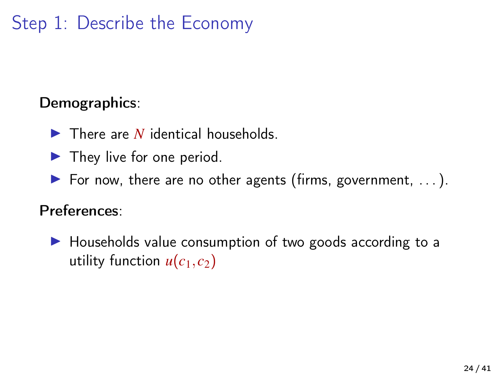#### Demographics:

- $\blacktriangleright$  There are *N* identical households.
- $\blacktriangleright$  They live for one period.
- For now, there are no other agents (firms, government,  $\dots$ ).

### Preferences:

 $\blacktriangleright$  Households value consumption of two goods according to a utility function  $u(c_1, c_2)$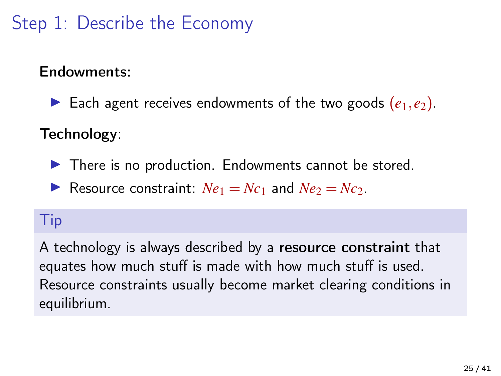### Endowments:

Each agent receives endowments of the two goods  $(e_1, e_2)$ .

### Technology:

 $\blacktriangleright$  There is no production. Endowments cannot be stored.

Resource constraint:  $Ne_1 = Nc_1$  and  $Ne_2 = Nc_2$ .

### Tip

A technology is always described by a resource constraint that equates how much stuff is made with how much stuff is used. Resource constraints usually become market clearing conditions in equilibrium.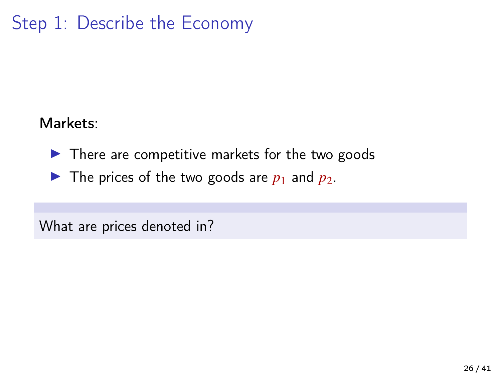#### Markets:

 $\blacktriangleright$  There are competitive markets for the two goods

 $\blacktriangleright$  The prices of the two goods are  $p_1$  and  $p_2$ .

What are prices denoted in?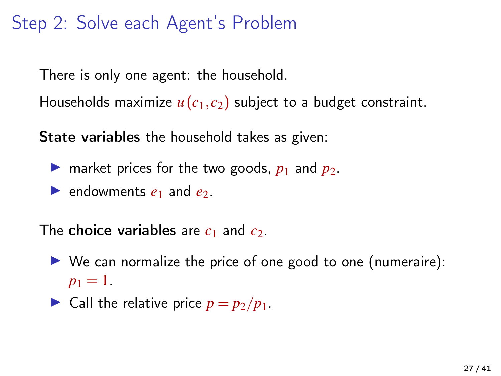### Step 2: Solve each Agent's Problem

There is only one agent: the household.

Households maximize  $u(c_1, c_2)$  subject to a budget constraint.

State variables the household takes as given:

- **If** market prices for the two goods,  $p_1$  and  $p_2$ .
- **P** endowments  $e_1$  and  $e_2$ .

The **choice variables** are  $c_1$  and  $c_2$ .

- $\triangleright$  We can normalize the price of one good to one (numeraire):  $p_1 = 1$ .
- $\triangleright$  Call the relative price  $p = p_2/p_1$ .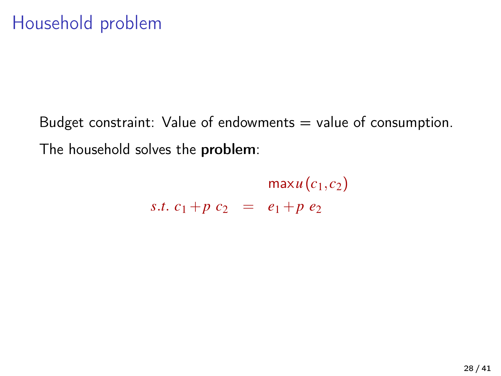Budget constraint: Value of endowments  $=$  value of consumption. The household solves the problem:

> $maxu(c_1, c_2)$ *s.t.*  $c_1 + p c_2 = e_1 + p e_2$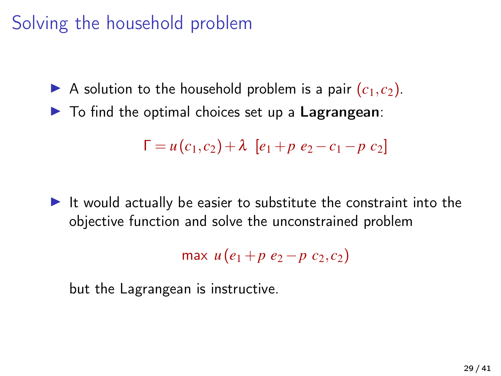### Solving the household problem

A solution to the household problem is a pair  $(c_1, c_2)$ .

 $\blacktriangleright$  To find the optimal choices set up a Lagrangean:

$$
\Gamma = u(c_1, c_2) + \lambda [e_1 + p e_2 - c_1 - p c_2]
$$

 $\blacktriangleright$  It would actually be easier to substitute the constraint into the objective function and solve the unconstrained problem

$$
\max u(e_1 + p \ e_2 - p \ c_2, c_2)
$$

but the Lagrangean is instructive.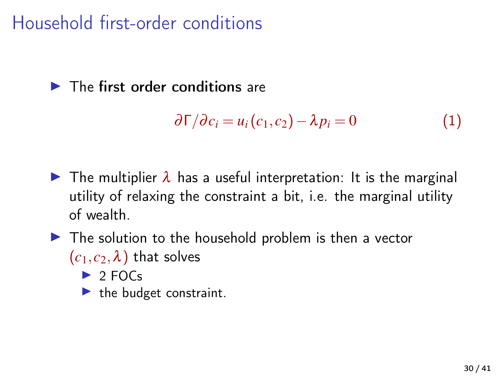Household first-order conditions

### $\blacktriangleright$  The first order conditions are

$$
\partial \Gamma / \partial c_i = u_i(c_1, c_2) - \lambda p_i = 0 \tag{1}
$$

- $\triangleright$  The multiplier  $\lambda$  has a useful interpretation: It is the marginal utility of relaxing the constraint a bit, i.e. the marginal utility of wealth.
- $\blacktriangleright$  The solution to the household problem is then a vector  $(c_1, c_2, \lambda)$  that solves
	- $\triangleright$  2 FOCs
	- $\blacktriangleright$  the budget constraint.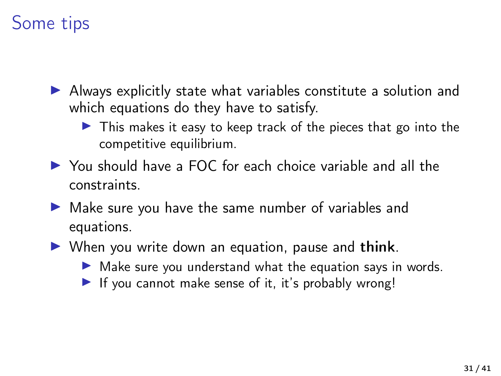# Some tips

- $\triangleright$  Always explicitly state what variables constitute a solution and which equations do they have to satisfy.
	- $\triangleright$  This makes it easy to keep track of the pieces that go into the competitive equilibrium.
- ▶ You should have a FOC for each choice variable and all the constraints.
- $\blacktriangleright$  Make sure you have the same number of variables and equations.
- $\triangleright$  When you write down an equation, pause and think.
	- $\triangleright$  Make sure you understand what the equation says in words.
	- If you cannot make sense of it, it's probably wrong!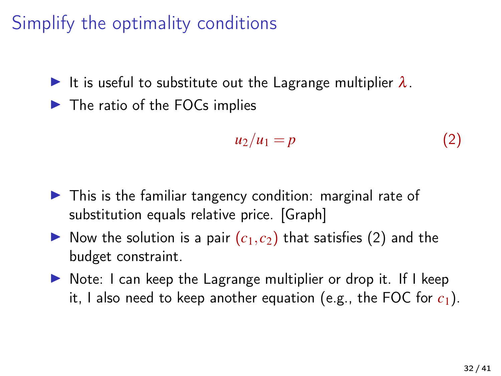# Simplify the optimality conditions

It is useful to substitute out the Lagrange multiplier  $\lambda$ .

 $\blacktriangleright$  The ratio of the FOCs implies

<span id="page-31-0"></span>
$$
u_2/u_1 = p \tag{2}
$$

- $\blacktriangleright$  This is the familiar tangency condition: marginal rate of substitution equals relative price. [Graph]
- $\triangleright$  Now the solution is a pair  $(c_1, c_2)$  that satisfies [\(2\)](#page-31-0) and the budget constraint.
- $\triangleright$  Note: I can keep the Lagrange multiplier or drop it. If I keep it, I also need to keep another equation (e.g., the FOC for  $c_1$ ).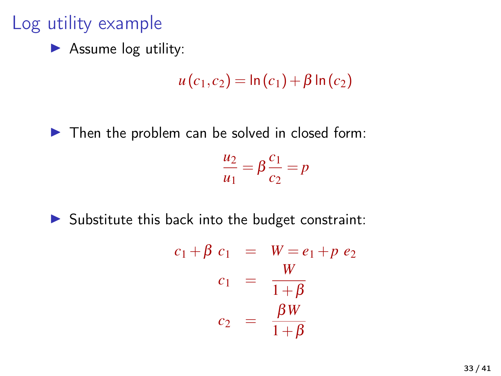# Log utility example

 $\blacktriangleright$  Assume log utility:

 $u(c_1, c_2) = \ln(c_1) + \beta \ln(c_2)$ 

 $\blacktriangleright$  Then the problem can be solved in closed form:

$$
\frac{u_2}{u_1} = \beta \frac{c_1}{c_2} = p
$$

 $\triangleright$  Substitute this back into the budget constraint:

$$
c_1 + \beta c_1 = W = e_1 + p e_2
$$
  

$$
c_1 = \frac{W}{1 + \beta}
$$
  

$$
c_2 = \frac{\beta W}{1 + \beta}
$$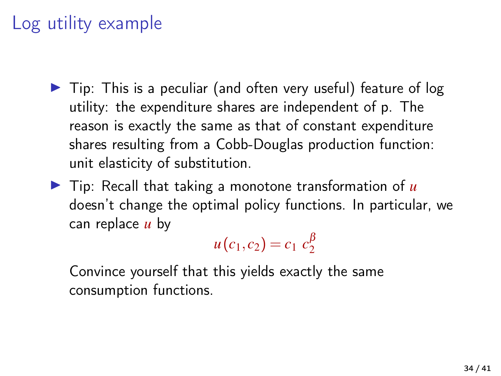# Log utility example

- $\triangleright$  Tip: This is a peculiar (and often very useful) feature of log utility: the expenditure shares are independent of p. The reason is exactly the same as that of constant expenditure shares resulting from a Cobb-Douglas production function: unit elasticity of substitution.
- $\triangleright$  Tip: Recall that taking a monotone transformation of  $\mu$ doesn't change the optimal policy functions. In particular, we can replace *u* by

 $u(c_1, c_2) = c_1 c_2^{\beta}$ 2

Convince yourself that this yields exactly the same consumption functions.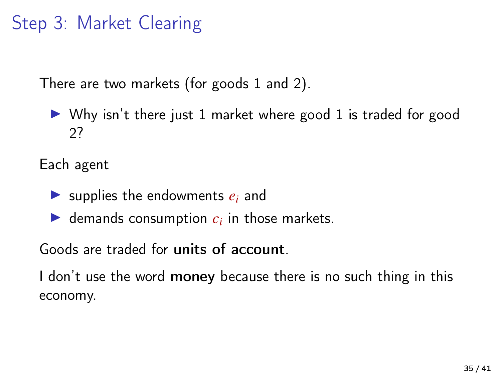### Step 3: Market Clearing

There are two markets (for goods 1 and 2).

 $\triangleright$  Why isn't there just 1 market where good 1 is traded for good 2?

Each agent

- $\triangleright$  supplies the endowments  $e_i$  and
- $\blacktriangleright$  demands consumption  $c_i$  in those markets.

Goods are traded for units of account.

I don't use the word money because there is no such thing in this economy.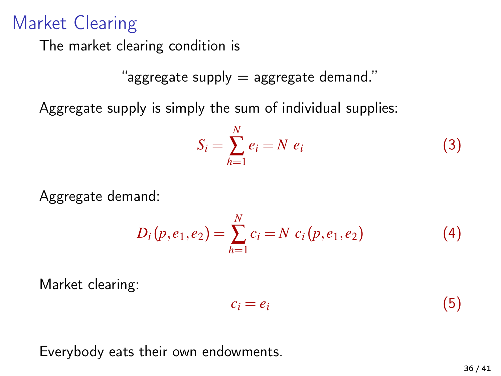### Market Clearing

The market clearing condition is

"aggregate supply = aggregate demand."

Aggregate supply is simply the sum of individual supplies:

$$
S_i = \sum_{h=1}^{N} e_i = N e_i \tag{3}
$$

Aggregate demand:

$$
D_i(p, e_1, e_2) = \sum_{h=1}^{N} c_i = N \ c_i(p, e_1, e_2)
$$
 (4)

Market clearing:

$$
c_i = e_i \tag{5}
$$

Everybody eats their own endowments.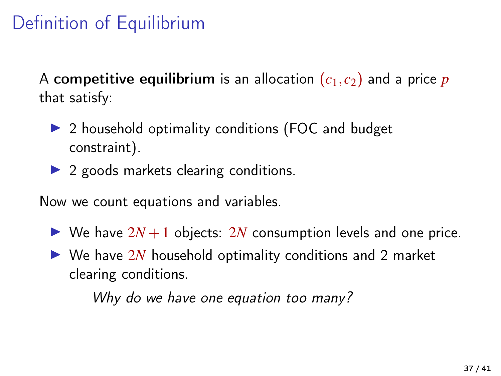# Definition of Equilibrium

A competitive equilibrium is an allocation  $(c_1, c_2)$  and a price p that satisfy:

- $\triangleright$  2 household optimality conditions (FOC and budget constraint).
- $\triangleright$  2 goods markets clearing conditions.

Now we count equations and variables.

- $\triangleright$  We have  $2N+1$  objects: 2*N* consumption levels and one price.
- $\triangleright$  We have 2*N* household optimality conditions and 2 market clearing conditions.

Why do we have one equation too many?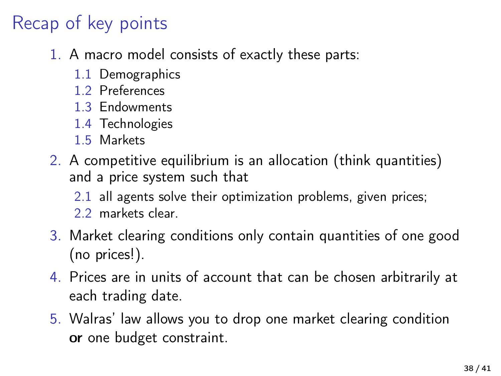# Recap of key points

- 1. A macro model consists of exactly these parts:
	- 1.1 Demographics
	- 1.2 Preferences
	- 1.3 Endowments
	- 1.4 Technologies
	- 1.5 Markets
- 2. A competitive equilibrium is an allocation (think quantities) and a price system such that
	- 2.1 all agents solve their optimization problems, given prices;
	- 2.2 markets clear.
- 3. Market clearing conditions only contain quantities of one good (no prices!).
- 4. Prices are in units of account that can be chosen arbitrarily at each trading date.
- 5. Walras' law allows you to drop one market clearing condition or one budget constraint.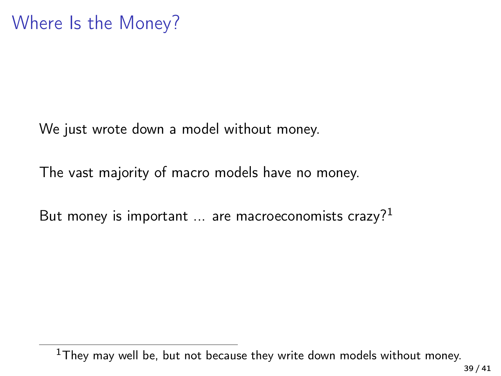We just wrote down a model without money.

The vast majority of macro models have no money.

But money is important  $\ldots$  are macroeconomists crazy?<sup>1</sup>

 $1$ They may well be, but not because they write down models without money.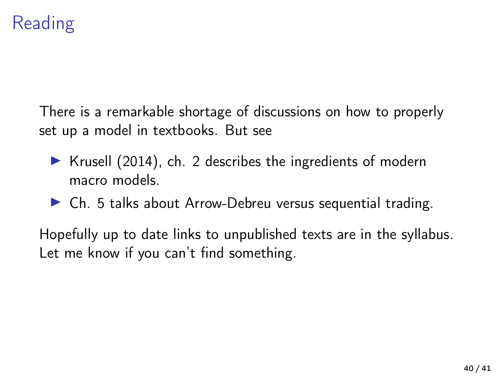# Reading

There is a remarkable shortage of discussions on how to properly set up a model in textbooks. But see

- $\triangleright$  [Krusell \(2014\)](#page-40-0), ch. 2 describes the ingredients of modern macro models.
- $\triangleright$  Ch. 5 talks about Arrow-Debreu versus sequential trading.

Hopefully up to date links to unpublished texts are in the syllabus. Let me know if you can't find something.